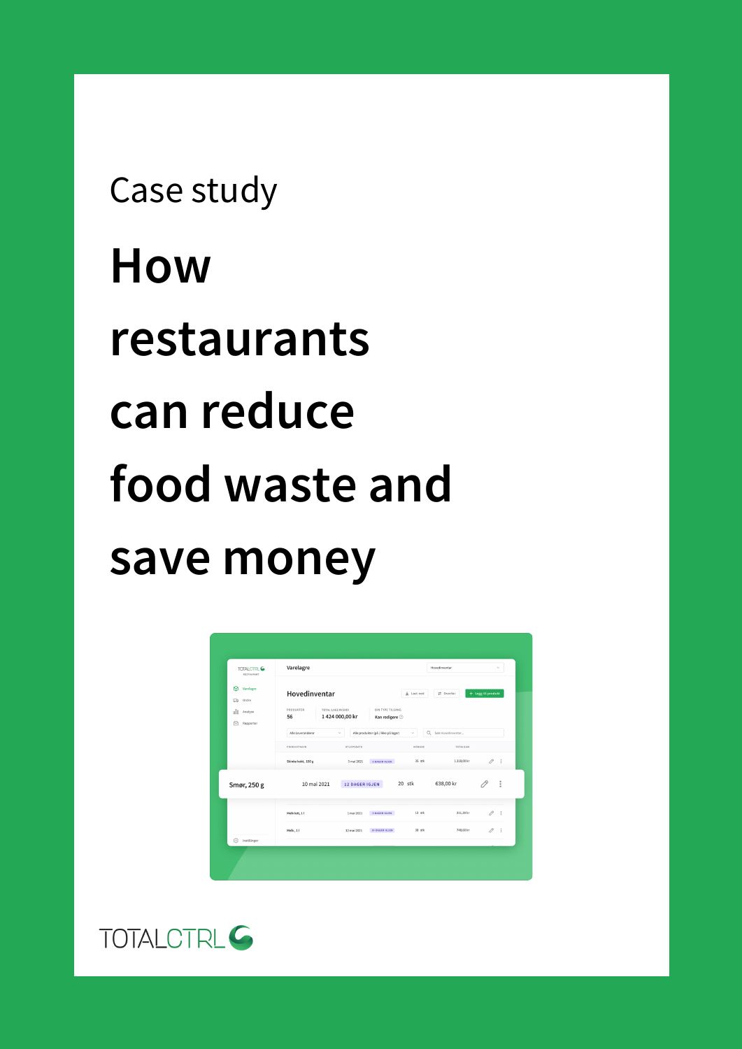# **How restaurants can reduce food waste and save money** Case study

| TOTALCTRL <sup>G</sup><br>RESTAURANT                                  | Varelagre                                                     |                                          |                                                      | $\mathcal{L}$<br>Hovedinventar   |                                               |                       |                |
|-----------------------------------------------------------------------|---------------------------------------------------------------|------------------------------------------|------------------------------------------------------|----------------------------------|-----------------------------------------------|-----------------------|----------------|
| ଜ<br>Varelagre<br>Ordre<br>$\Box$<br>oOo<br>Analyse<br>Rapporter<br>⊶ | Hovedinventar<br>PRODUKTER<br>56                              | TOTAL LAGERVERDI<br>1424 000,00 kr       | DIN TYPE TILGANG<br>Kan redigere $\odot$             | $\pm$ Last ned                   | ₽ Overfor                                     | + Legg til produkt    |                |
|                                                                       | Alle Leverandører<br><b>PRODUKTNAVN</b><br>Skinke kokt, 150 g | $\checkmark$<br>UTLOPSDATO<br>3 mai 2021 | Alle produkter (på / ikke på lager)<br>S DAGER IGJEN | $\checkmark$<br>MENGDE<br>35 stk | Q Sek Hovedinventar<br>TOTALSUM<br>1218,00 kr | $\mathcal{O} \quad :$ |                |
| Smør, 250 g                                                           | 10 mai 2021                                                   | <b>12 DAGER IGJEN</b>                    |                                                      | 20 stk                           | 638,00 kr                                     |                       | $\ddot{\cdot}$ |
|                                                                       | Melk lett, 11                                                 | 1 mai 2021                               | 3 DAGER IGJEN                                        | $12$ stk                         | 211,20 kr                                     | $\mathcal O$          | ÷              |
| Instillinger<br>€                                                     | Melk, 11                                                      | 12 mai 2021                              | 14 DAGER IGJEN                                       | 38 stk                           | 748,60 kr                                     | 0                     | $\ddot{z}$     |

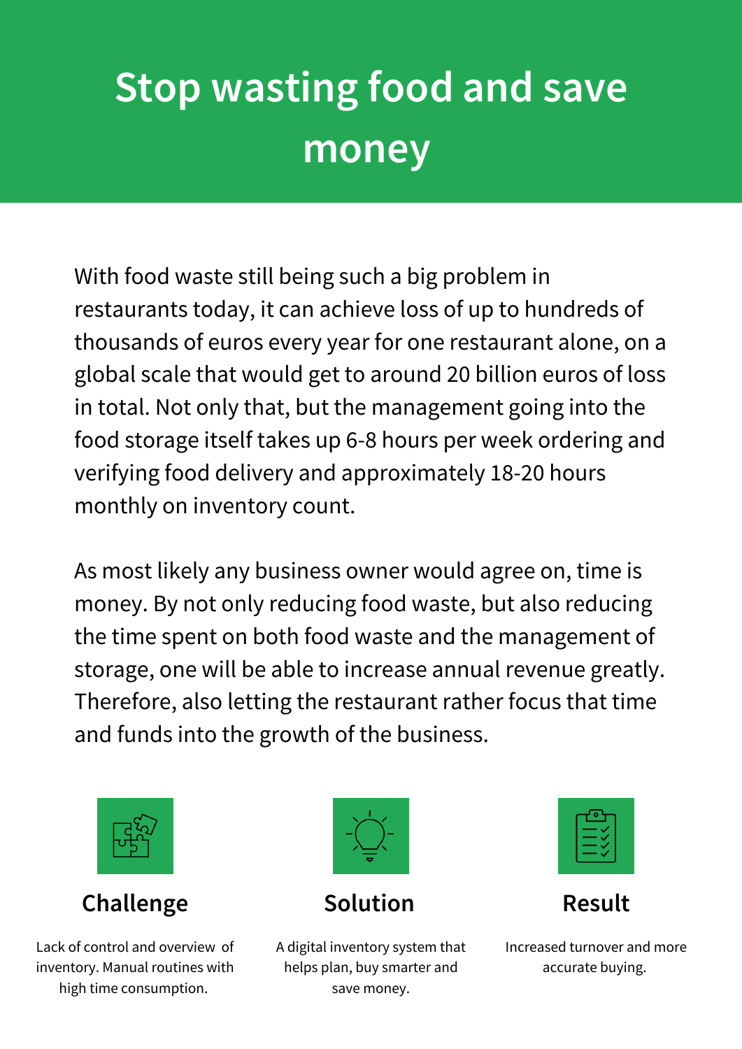# **Stop wasting food and save money**

With food waste still being such a big problem in restaurants today, it can achieve loss of up to hundreds of thousands of euros every year for one restaurant alone, on a global scale that would get to around 20 billion euros of loss in total. Not only that, but the management going into the food storage itself takes up 6-8 hours per week ordering and verifying food delivery and approximately 18-20 hours monthly on inventory count.

As most likely any business owner would agree on, time is money. By not only reducing food waste, but also reducing the time spent on both food waste and the management of storage, one will be able to increase annual revenue greatly. Therefore, also letting the restaurant rather focus that time and funds into the growth of the business.



**Challenge Solution Result** 

Lack of control and overview of inventory. Manual routines with high time consumption.



A digital inventory system that helps plan, buy smarter and save money.



Increased turnover and more accurate buying.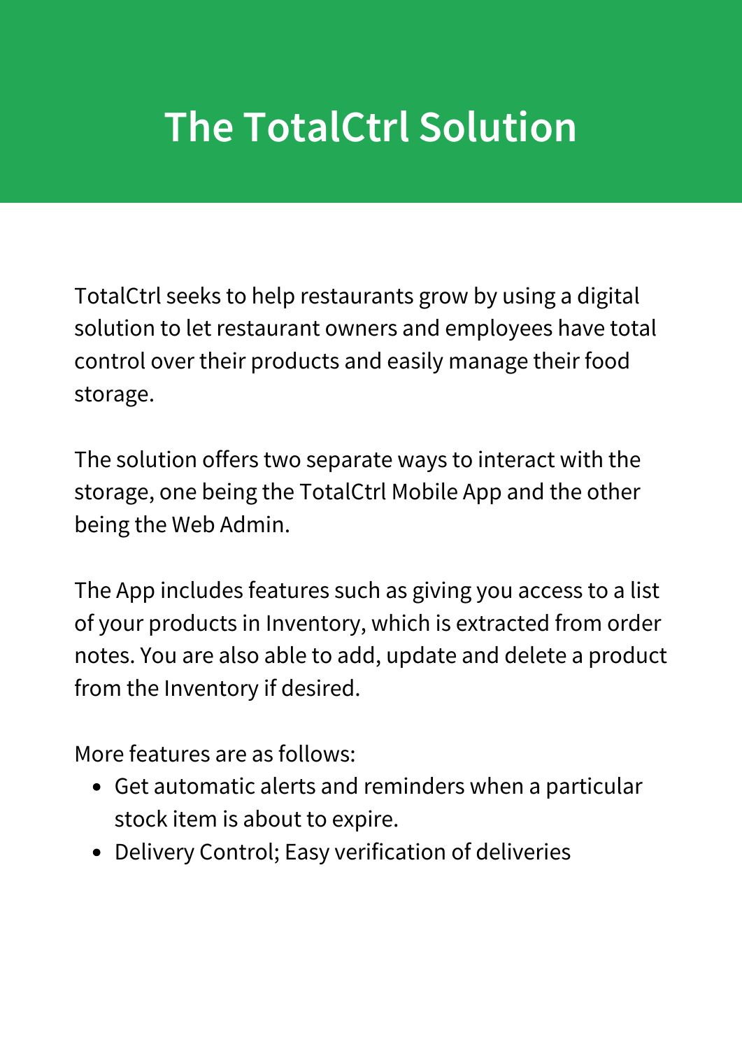## **The TotalCtrl Solution**

TotalCtrl seeks to help restaurants grow by using a digital solution to let restaurant owners and employees have total control over their products and easily manage their food storage.

The solution offers two separate ways to interact with the storage, one being the TotalCtrl Mobile App and the other being the Web Admin.

The App includes features such as giving you access to a list of your products in Inventory, which is extracted from order notes. You are also able to add, update and delete a product from the Inventory if desired.

More features are as follows:

- Get automatic alerts and reminders when a particular stock item is about to expire.
- Delivery Control; Easy verification of deliveries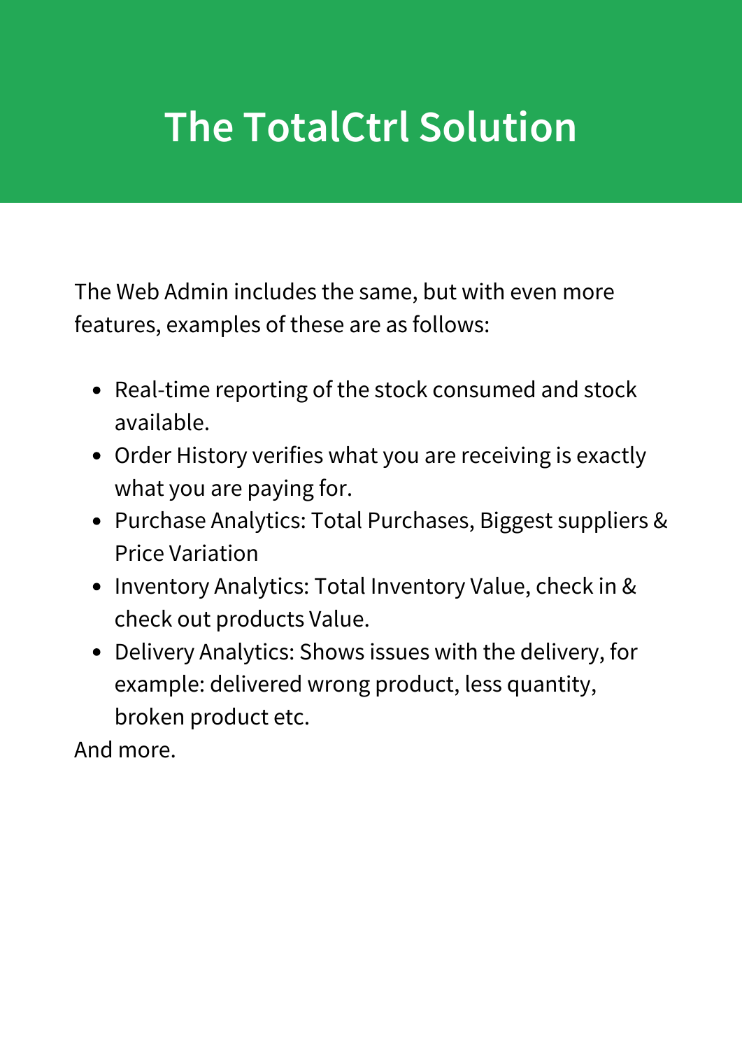## **The TotalCtrl Solution**

The Web Admin includes the same, but with even more features, examples of these are as follows:

- Real-time reporting of the stock consumed and stock available.
- Order History verifies what you are receiving is exactly what you are paying for.
- Purchase Analytics: Total Purchases, Biggest suppliers & Price Variation
- Inventory Analytics: Total Inventory Value, check in & check out products Value.
- Delivery Analytics: Shows issues with the delivery, for example: delivered wrong product, less quantity, broken product etc.

And more.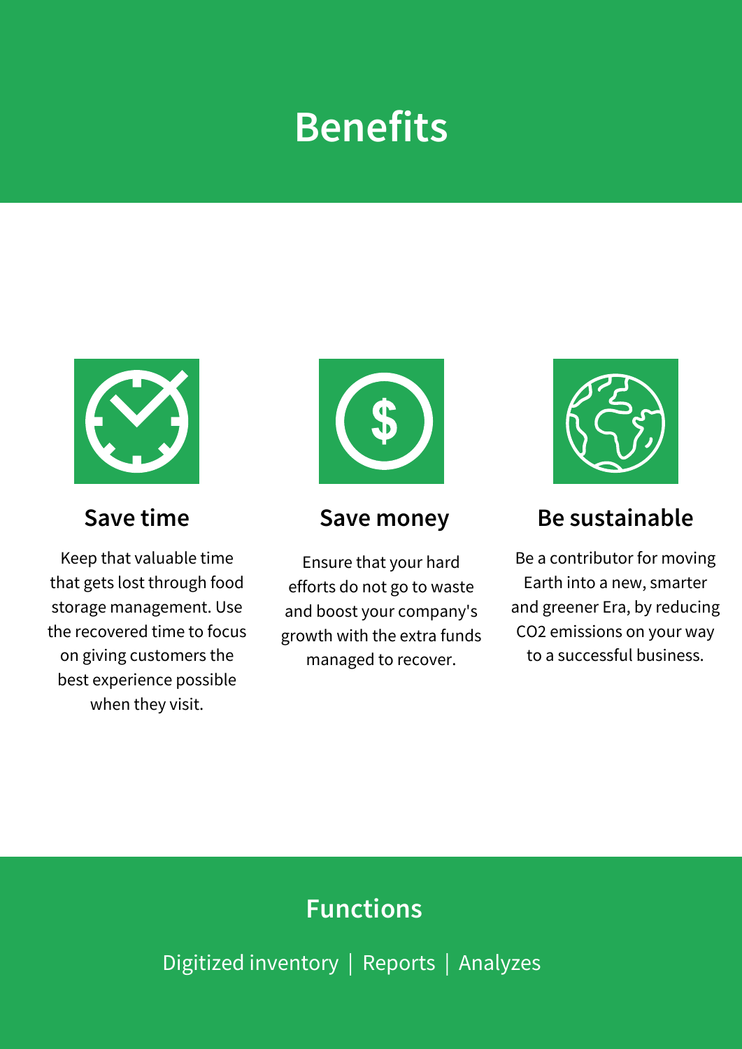### **Benefits**



Keep that valuable time that gets lost through food storage management. Use the recovered time to focus on giving customers the best experience possible when they visit.



Ensure that your hard efforts do not go to waste and boost your company's growth with the extra funds managed to recover.



### **Save time Save money Be sustainable**

Be a contributor for moving Earth into a new, smarter and greener Era, by reducing CO2 emissions on your way to a successful business.

### **Functions**

Digitized inventory | Reports | Analyzes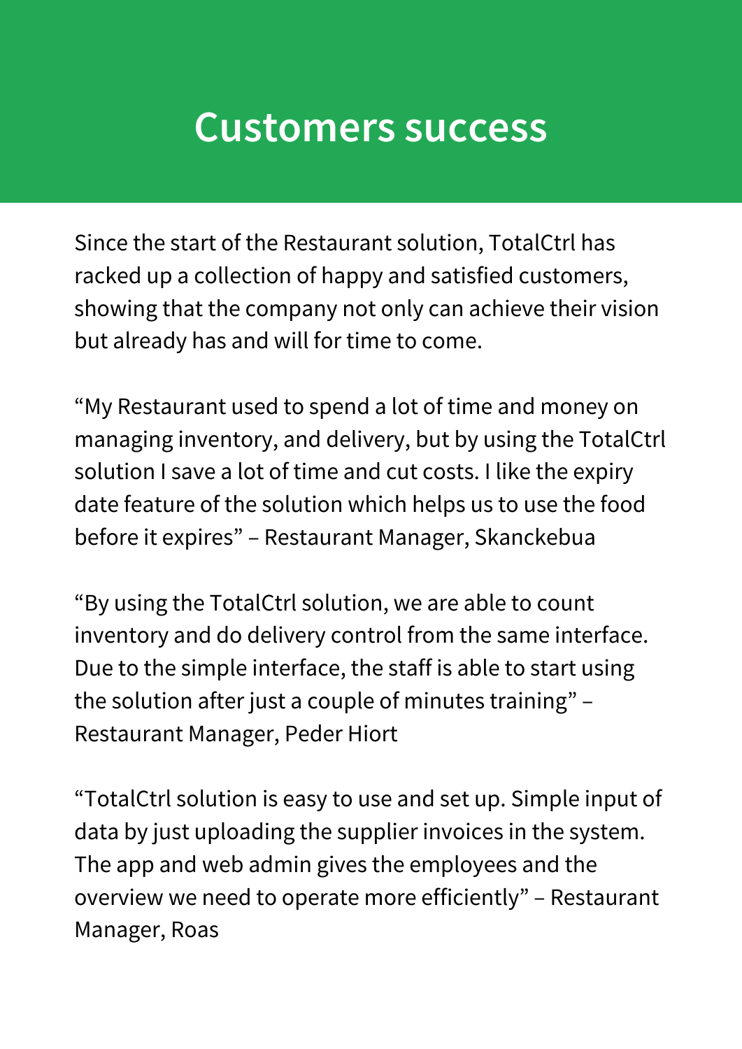### **Customers success**

Since the start of the Restaurant solution, TotalCtrl has racked up a collection of happy and satisfied customers, showing that the company not only can achieve their vision but already has and will for time to come.

"My Restaurant used to spend a lot of time and money on managing inventory, and delivery, but by using the TotalCtrl solution I save a lot of time and cut costs. I like the expiry date feature of the solution which helps us to use the food before it expires" – Restaurant Manager, Skanckebua

"By using the TotalCtrl solution, we are able to count inventory and do delivery control from the same interface. Due to the simple interface, the staff is able to start using the solution after just a couple of minutes training" – Restaurant Manager, Peder Hiort

"TotalCtrl solution is easy to use and set up. Simple input of data by just uploading the supplier invoices in the system. The app and web admin gives the employees and the overview we need to operate more efficiently" – Restaurant Manager, Roas